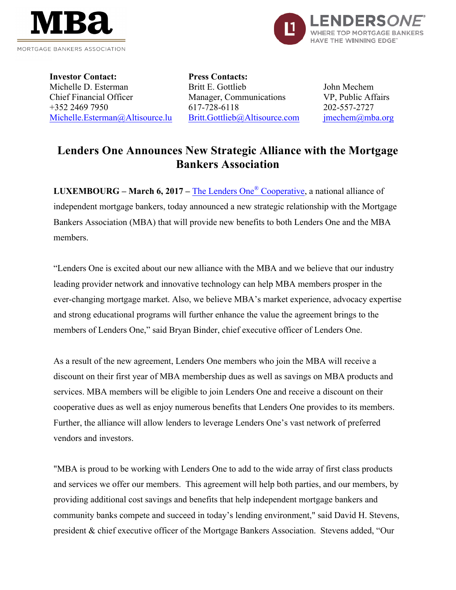



**Investor Contact:** Michelle D. Esterman Chief Financial Officer +352 2469 7950 Michelle.Esterman@Altisource.lu **Press Contacts:** Britt E. Gottlieb Manager, Communications 617-728-6118 Britt.Gottlieb@Altisource.com

John Mechem VP, Public Affairs 202-557-2727 jmechem@mba.org

## **Lenders One Announces New Strategic Alliance with the Mortgage Bankers Association**

**LUXEMBOURG – March 6, 2017 –** The Lenders One® Cooperative, a national alliance of independent mortgage bankers, today announced a new strategic relationship with the Mortgage Bankers Association (MBA) that will provide new benefits to both Lenders One and the MBA members.

"Lenders One is excited about our new alliance with the MBA and we believe that our industry leading provider network and innovative technology can help MBA members prosper in the ever-changing mortgage market. Also, we believe MBA's market experience, advocacy expertise and strong educational programs will further enhance the value the agreement brings to the members of Lenders One," said Bryan Binder, chief executive officer of Lenders One.

As a result of the new agreement, Lenders One members who join the MBA will receive a discount on their first year of MBA membership dues as well as savings on MBA products and services. MBA members will be eligible to join Lenders One and receive a discount on their cooperative dues as well as enjoy numerous benefits that Lenders One provides to its members. Further, the alliance will allow lenders to leverage Lenders One's vast network of preferred vendors and investors.

"MBA is proud to be working with Lenders One to add to the wide array of first class products and services we offer our members. This agreement will help both parties, and our members, by providing additional cost savings and benefits that help independent mortgage bankers and community banks compete and succeed in today's lending environment," said David H. Stevens, president & chief executive officer of the Mortgage Bankers Association. Stevens added, "Our